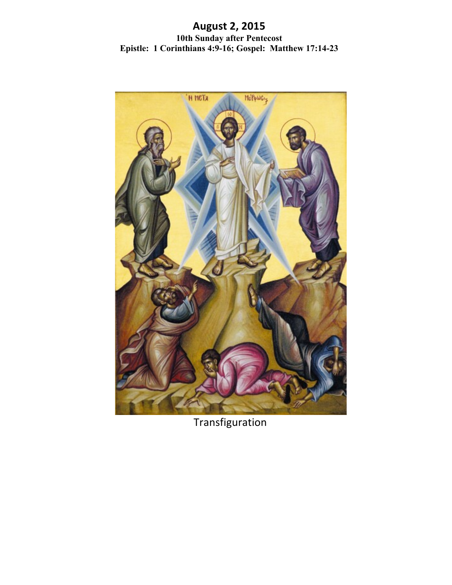# **August!2,!2015 10th Sunday after Pentecost Epistle: 1 Corinthians 4:9-16; Gospel: Matthew 17:14-23**



**Transfiguration**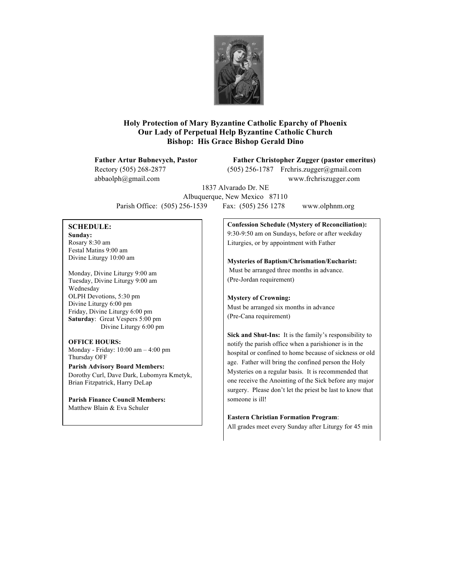

## **Holy Protection of Mary Byzantine Catholic Eparchy of Phoenix Our Lady of Perpetual Help Byzantine Catholic Church Bishop: His Grace Bishop Gerald Dino**

**Father Artur Bubnevych, Pastor Father Christopher Zugger (pastor emeritus)**

Rectory (505) 268-2877 (505) 256-1787 Frchris.zugger@gmail.com abbaolph@gmail.com www.frchriszugger.com

1837 Alvarado Dr. NE Albuquerque, New Mexico 87110 Parish Office: (505) 256-1539 Fax: (505) 256 1278 www.olphnm.org

## **SCHEDULE:**

**Sunday:** Rosary 8:30 am Festal Matins 9:00 am Divine Liturgy 10:00 am

Monday, Divine Liturgy 9:00 am Tuesday, Divine Liturgy 9:00 am Wednesday OLPH Devotions, 5:30 pm Divine Liturgy 6:00 pm Friday, Divine Liturgy 6:00 pm **Saturday**: Great Vespers 5:00 pm Divine Liturgy 6:00 pm

## **OFFICE HOURS:**

Monday - Friday: 10:00 am – 4:00 pm Thursday OFF

**Parish Advisory Board Members:** Dorothy Curl, Dave Dark, Lubomyra Kmetyk, Brian Fitzpatrick, Harry DeLap

**Parish Finance Council Members:** Matthew Blain & Eva Schuler

**Confession Schedule (Mystery of Reconciliation):** 9:30-9:50 am on Sundays, before or after weekday Liturgies, or by appointment with Father

**Mysteries of Baptism/Chrismation/Eucharist:** Must be arranged three months in advance. (Pre-Jordan requirement)

#### **Mystery of Crowning:** Must be arranged six months in advance (Pre-Cana requirement)

**Sick and Shut-Ins:** It is the family's responsibility to notify the parish office when a parishioner is in the hospital or confined to home because of sickness or old age. Father will bring the confined person the Holy Mysteries on a regular basis. It is recommended that one receive the Anointing of the Sick before any major surgery. Please don't let the priest be last to know that someone is ill!

#### **Eastern Christian Formation Program**:

All grades meet every Sunday after Liturgy for 45 min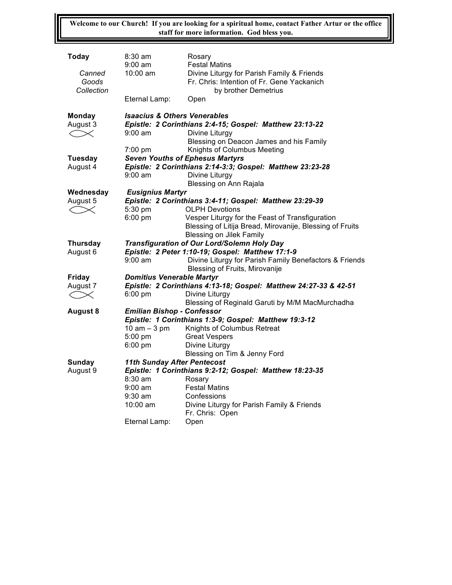**Welcome to our Church! If you are looking for a spiritual home, contact Father Artur or the office staff for more information. God bless you.**

| Today                         | $8:30$ am<br>$9:00 \text{ am}$                                                                         | Rosary<br><b>Festal Matins</b>                                                                                   |  |
|-------------------------------|--------------------------------------------------------------------------------------------------------|------------------------------------------------------------------------------------------------------------------|--|
| Canned<br>Goods<br>Collection | $10:00$ am                                                                                             | Divine Liturgy for Parish Family & Friends<br>Fr. Chris: Intention of Fr. Gene Yackanich<br>by brother Demetrius |  |
|                               | Eternal Lamp:                                                                                          | Open                                                                                                             |  |
| Monday                        | <b>Isaacius &amp; Others Venerables</b>                                                                |                                                                                                                  |  |
| August 3                      | Epistle: 2 Corinthians 2:4-15; Gospel: Matthew 23:13-22                                                |                                                                                                                  |  |
| $\curvearrowright$            | $9:00 \text{ am}$                                                                                      | Divine Liturgy                                                                                                   |  |
|                               |                                                                                                        | Blessing on Deacon James and his Family                                                                          |  |
|                               | $7:00$ pm                                                                                              | Knights of Columbus Meeting                                                                                      |  |
| <b>Tuesday</b>                | <b>Seven Youths of Ephesus Martyrs</b>                                                                 |                                                                                                                  |  |
| August 4                      |                                                                                                        | Epistle: 2 Corinthians 2:14-3:3; Gospel: Matthew 23:23-28                                                        |  |
|                               | $9:00$ am                                                                                              | Divine Liturgy                                                                                                   |  |
|                               |                                                                                                        | Blessing on Ann Rajala                                                                                           |  |
| Wednesday                     | <b>Eusignius Martyr</b>                                                                                |                                                                                                                  |  |
| August 5                      | Epistle: 2 Corinthians 3:4-11; Gospel: Matthew 23:29-39                                                |                                                                                                                  |  |
| $\boldsymbol{\times}$         | 5:30 pm                                                                                                | <b>OLPH Devotions</b>                                                                                            |  |
|                               | 6:00 pm                                                                                                | Vesper Liturgy for the Feast of Transfiguration                                                                  |  |
|                               |                                                                                                        | Blessing of Litija Bread, Mirovanije, Blessing of Fruits<br><b>Blessing on Jilek Family</b>                      |  |
| <b>Thursday</b>               |                                                                                                        |                                                                                                                  |  |
| August 6                      | <b>Transfiguration of Our Lord/Solemn Holy Day</b><br>Epistle: 2 Peter 1:10-19; Gospel: Matthew 17:1-9 |                                                                                                                  |  |
|                               | $9:00$ am                                                                                              | Divine Liturgy for Parish Family Benefactors & Friends                                                           |  |
|                               |                                                                                                        | Blessing of Fruits, Mirovanije                                                                                   |  |
| <b>Friday</b>                 | <b>Domitius Venerable Martyr</b>                                                                       |                                                                                                                  |  |
| August 7                      | Epistle: 2 Corinthians 4:13-18; Gospel: Matthew 24:27-33 & 42-51                                       |                                                                                                                  |  |
|                               | $6:00$ pm                                                                                              | Divine Liturgy                                                                                                   |  |
|                               |                                                                                                        | Blessing of Reginald Garuti by M/M MacMurchadha                                                                  |  |
| <b>August 8</b>               | <b>Emilian Bishop - Confessor</b>                                                                      |                                                                                                                  |  |
|                               | Epistle: 1 Corinthians 1:3-9; Gospel: Matthew 19:3-12                                                  |                                                                                                                  |  |
|                               | $10$ am $-3$ pm                                                                                        | Knights of Columbus Retreat                                                                                      |  |
|                               | 5:00 pm                                                                                                | <b>Great Vespers</b>                                                                                             |  |
|                               | 6:00 pm                                                                                                | Divine Liturgy                                                                                                   |  |
|                               |                                                                                                        | Blessing on Tim & Jenny Ford                                                                                     |  |
| <b>Sunday</b>                 | <b>11th Sunday After Pentecost</b>                                                                     |                                                                                                                  |  |
| August 9                      | Epistle: 1 Corinthians 9:2-12; Gospel: Matthew 18:23-35                                                |                                                                                                                  |  |
|                               | 8:30 am                                                                                                | Rosary                                                                                                           |  |
|                               | $9:00 \text{ am}$                                                                                      | <b>Festal Matins</b>                                                                                             |  |
|                               | $9:30$ am                                                                                              | Confessions                                                                                                      |  |
|                               | $10:00$ am                                                                                             | Divine Liturgy for Parish Family & Friends                                                                       |  |
|                               |                                                                                                        | Fr. Chris: Open                                                                                                  |  |
|                               | Eternal Lamp:                                                                                          | Open                                                                                                             |  |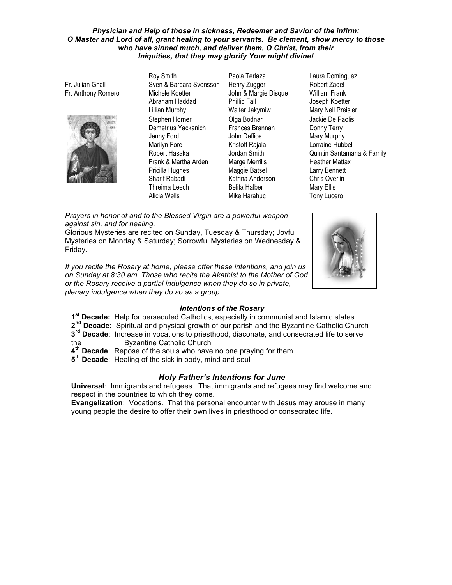#### *Physician and Help of those in sickness, Redeemer and Savior of the infirm;* O Master and Lord of all, grant healing to your servants. Be clement, show mercy to those who have sinned much, and deliver them, O Christ, from their Iniquities, that they may glorify Your might divine!

Fr. Julian Gnall Fr. Anthony Romero



Roy Smith Sven & Barbara Svensson Michele Koetter Abraham Haddad Lillian Murphy Stephen Horner Demetrius Yackanich Jenny Ford Marilyn Fore Robert Hasaka Frank & Martha Arden Pricilla Hughes Sharif Rabadi Threima Leech Alicia Wells **Mike Harahuc** Tony Lucero

Paola Terlaza Henry Zugger John & Margie Disque Phillip Fall Walter Jakymiw Olga Bodnar Frances Brannan John Deflice Kristoff Rajala Jordan Smith Marge Merrills Maggie Batsel Katrina Anderson Belita Halber

Laura Dominguez Robert Zadel William Frank Joseph Koetter Mary Nell Preisler Jackie De Paolis Donny Terry Mary Murphy Lorraine Hubbell Quintin Santamaria & Family Heather Mattax Larry Bennett Chris Overlin Mary Ellis

Prayers in honor of and to the Blessed Virgin are a powerful weapon *against sin, and for healing.* 

Glorious Mysteries are recited on Sunday, Tuesday & Thursday; Joyful Mysteries on Monday & Saturday; Sorrowful Mysteries on Wednesday & Friday.

If you recite the Rosary at home, please offer these intentions, and join us *on Sunday at 8:30 am. Those who recite the Akathist to the Mother of God* or the Rosary receive a partial indulgence when they do so in private, plenary indulgence when they do so as a group



## **Intentions of the Rosary**

- 1<sup>st</sup> Decade: Help for persecuted Catholics, especially in communist and Islamic states
- 2<sup>nd</sup> **Decade:** Spiritual and physical growth of our parish and the Byzantine Catholic Church
- **3<sup>rd</sup> Decade**: Increase in vocations to priesthood, diaconate, and consecrated life to serve
- the **Byzantine Catholic Church**
- **4<sup>th</sup> Decade**: Repose of the souls who have no one praying for them
- **5<sup>th</sup> Decade:** Healing of the sick in body, mind and soul

## **Holy Father's Intentions for June**

**Universal: Immigrants and refugees. That immigrants and refugees may find welcome and** respect in the countries to which they come.

**Evangelization:** Vocations. That the personal encounter with Jesus may arouse in many young people the desire to offer their own lives in priesthood or consecrated life.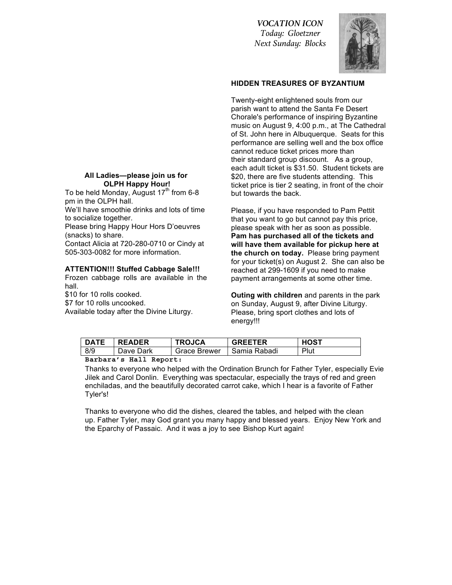*VOCATION ICON Today: Gloetzner Next Sunday: Blocks*



### **HIDDEN TREASURES OF BYZANTIUM**

Twenty-eight enlightened souls from our parish want to attend the Santa Fe Desert Chorale's performance of inspiring Byzantine music on August 9, 4:00 p.m., at The Cathedral of St. John here in Albuquerque. Seats for this performance are selling well and the box office cannot reduce ticket prices more than their standard group discount. As a group, each adult ticket is \$31.50. Student tickets are \$20, there are five students attending. This ticket price is tier 2 seating, in front of the choir but towards the back.

Please, if you have responded to Pam Pettit that you want to go but cannot pay this price, please speak with her as soon as possible. **Pam has purchased all of the tickets and** will have them available for pickup here at **the church on today.** Please bring payment for your ticket(s) on August 2. She can also be reached at 299-1609 if you need to make payment arrangements at some other time.

**Outing with children** and parents in the park on Sunday, August 9, after Divine Liturgy. Please, bring sport clothes and lots of energy!!!

| <b>DATE</b> | <b>READER</b> | <b>TROJCA</b>       | <b>GREETER</b> | <b>HOST</b> |
|-------------|---------------|---------------------|----------------|-------------|
| 8/9         | Dave Dark     | <b>Grace Brewer</b> | Samia Rabadi   | Plut        |

**Barbara's Hall Report:**

Thanks to everyone who helped with the Ordination Brunch for Father Tyler, especially Evie Jilek and Carol Donlin. Everything was spectacular, especially the trays of red and green enchiladas, and the beautifully decorated carrot cake, which I hear is a favorite of Father Tyler's!

Thanks to everyone who did the dishes, cleared the tables, and helped with the clean up. Father Tyler, may God grant you many happy and blessed years. Enjoy New York and the Eparchy of Passaic. And it was a joy to see Bishop Kurt again!

#### All Ladies-please join us for **OLPH Happy Hour!**

To be held Monday, August  $17<sup>th</sup>$  from 6-8 pm in the OLPH hall.

We'll have smoothie drinks and lots of time to socialize together.

Please bring Happy Hour Hors D'oeuvres (snacks) to share.

Contact Alicia at 720-280-0710 or Cindy at 505-303-0082 for more information.

### **ATTENTION!!! Stuffed Cabbage Sale!!!**

Frozen cabbage rolls are available in the hall.

\$10 for 10 rolls cooked. \$7 for 10 rolls uncooked. Available today after the Divine Liturgy.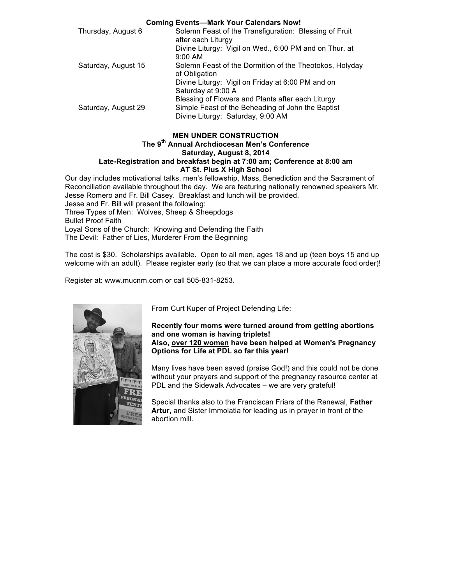| <b>Coming Events-Mark Your Calendars Now!</b> |                                                         |  |  |  |
|-----------------------------------------------|---------------------------------------------------------|--|--|--|
| Thursday, August 6                            | Solemn Feast of the Transfiguration: Blessing of Fruit  |  |  |  |
|                                               | after each Liturgy                                      |  |  |  |
|                                               | Divine Liturgy: Vigil on Wed., 6:00 PM and on Thur. at  |  |  |  |
|                                               | $9:00$ AM                                               |  |  |  |
| Saturday, August 15                           | Solemn Feast of the Dormition of the Theotokos, Holyday |  |  |  |
|                                               | of Obligation                                           |  |  |  |
|                                               | Divine Liturgy: Vigil on Friday at 6:00 PM and on       |  |  |  |
|                                               | Saturday at 9:00 A                                      |  |  |  |
|                                               | Blessing of Flowers and Plants after each Liturgy       |  |  |  |
| Saturday, August 29                           | Simple Feast of the Beheading of John the Baptist       |  |  |  |
|                                               | Divine Liturgy: Saturday, 9:00 AM                       |  |  |  |

## **MEN UNDER CONSTRUCTION**

### **The!9th Annual!Archdiocesan!Men's!Conference** Saturday, August 8, 2014 Late-Registration and breakfast begin at 7:00 am; Conference at 8:00 am **AT St. Pius X High School**

Our day includes motivational talks, men's fellowship, Mass, Benediction and the Sacrament of Reconciliation available throughout the day. We are featuring nationally renowned speakers Mr. Jesse Romero and Fr. Bill Casey. Breakfast and lunch will be provided.

Jesse and Fr. Bill will present the following: Three Types of Men: Wolves, Sheep & Sheepdogs **Bullet Proof Faith** Loyal Sons of the Church: Knowing and Defending the Faith The Devil: Father of Lies, Murderer From the Beginning

The cost is \$30. Scholarships available. Open to all men, ages 18 and up (teen boys 15 and up welcome with an adult). Please register early (so that we can place a more accurate food order)!

Register at: www.mucnm.com or call 505-831-8253.



From Curt Kuper of Project Defending Life:

#### Recently four moms were turned around from getting abortions and one woman is having triplets! Also, over 120 women have been helped at Women's Pregnancy **Options for Life at PDL so far this year!**

Many lives have been saved (praise God!) and this could not be done without your prayers and support of the pregnancy resource center at PDL and the Sidewalk Advocates – we are very grateful!

Special thanks also to the Franciscan Friars of the Renewal, Father Artur, and Sister Immolatia for leading us in prayer in front of the abortion mill.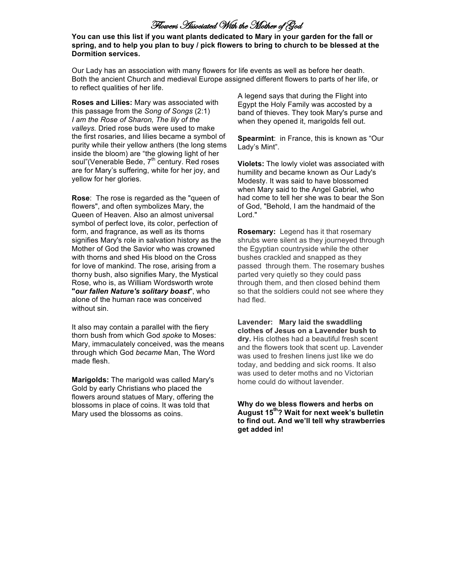# Flowers Associated With the Mother of God

You can use this list if you want plants dedicated to Mary in your garden for the fall or spring, and to help you plan to buy / pick flowers to bring to church to be blessed at the **Dormition services.** 

Our Lady has an association with many flowers for life events as well as before her death. Both the ancient Church and medieval Europe assigned different flowers to parts of her life, or to reflect qualities of her life.

**Roses and Lilies: Mary was associated with .** this passage from the *Song of Songs* (2:1) *I* am the Rose of Sharon, The lily of the *valleys.* Dried rose buds were used to make the first rosaries, and lilies became a symbol of purity while their yellow anthers (the long stems inside the bloom) are "the glowing light of her soul"(Venerable Bede, 7<sup>th</sup> century. Red roses are for Mary's suffering, white for her joy, and yellow for her glories.

**Rose:** The rose is regarded as the "queen of flowers", and often symbolizes Mary, the Queen of Heaven. Also an almost universal symbol of perfect love, its color, perfection of form, and fragrance, as well as its thorns signifies Mary's role in salvation history as the Mother of God the Savior who was crowned with thorns and shed His blood on the Cross for love of mankind. The rose, arising from a thorny bush, also signifies Mary, the Mystical Rose, who is, as William Wordsworth wrote "*our fallen Nature's solitary boast***", who** alone of the human race was conceived without sin.

It also may contain a parallel with the fiery thorn bush from which God *spoke* to Moses: Mary, immaculately conceived, was the means through!which!God *became* Man,!The!Word! made flesh.

**Marigolds:** The marigold was called Mary's Gold by early Christians who placed the flowers around statues of Mary, offering the blossoms in place of coins. It was told that Mary used the blossoms as coins.

A legend says that during the Flight into Egypt the Holy Family was accosted by a band of thieves. They took Mary's purse and when they opened it, marigolds fell out.

**Spearmint: in France, this is known as "Our !** Lady's Mint".

**Violets:** The lowly violet was associated with humility and became known as Our Lady's Modesty. It was said to have blossomed when Mary said to the Angel Gabriel, who had come to tell her she was to bear the Son of God, "Behold, I am the handmaid of the Lord."

**Rosemary:** Legend has it that rosemary shrubs were silent as they journeyed through the Egyptian countryside while the other bushes crackled and snapped as they passed through them. The rosemary bushes parted very quietly so they could pass through them, and then closed behind them so that the soldiers could not see where they had fled.

**Lavender: Mary laid the swaddling clothes!of!Jesus!on!a!Lavender!bush!to! dry.** His clothes had a beautiful fresh scent and the flowers took that scent up. Lavender was used to freshen linens just like we do today, and bedding and sick rooms. It also was used to deter moths and no Victorian home could do without lavender.

Why do we bless flowers and herbs on August 15<sup>th</sup>? Wait for next week's bulletin to find out. And we'll tell why strawberries get added in!